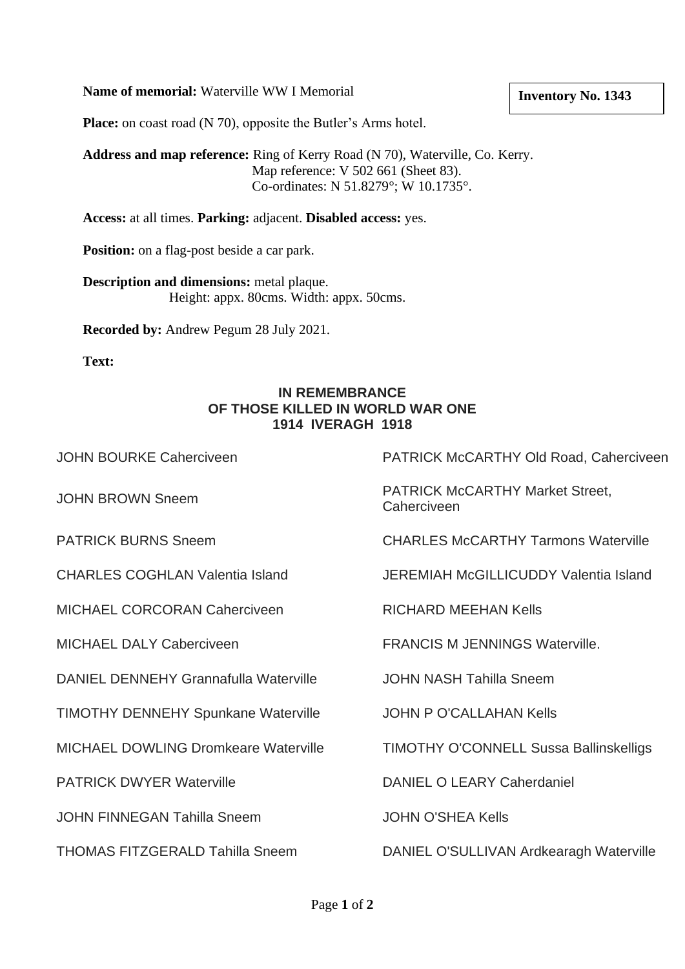### **Name of memorial:** Waterville WW I Memorial

#### **Inventory No. 1343**

**Place:** on coast road (N 70), opposite the Butler's Arms hotel.

**Address and map reference:** Ring of Kerry Road (N 70), Waterville, Co. Kerry. Map reference: V 502 661 (Sheet 83). Co-ordinates: N 51.8279°; W 10.1735°.

**Access:** at all times. **Parking:** adjacent. **Disabled access:** yes.

**Position:** on a flag-post beside a car park.

**Description and dimensions:** metal plaque. Height: appx. 80cms. Width: appx. 50cms.

**Recorded by:** Andrew Pegum 28 July 2021.

**Text:** 

### **IN REMEMBRANCE OF THOSE KILLED IN WORLD WAR ONE 1914 IVERAGH 1918**

MICHAEL CORCORAN Caherciveen RICHARD MEEHAN Kells

DANIEL DENNEHY Grannafulla Waterville JOHN NASH Tahilla Sneem

TIMOTHY DENNEHY Spunkane Waterville JOHN P O'CALLAHAN Kells

JOHN FINNEGAN Tahilla Sneem JOHN O'SHEA Kells

JOHN BOURKE Caherciveen PATRICK McCARTHY Old Road, Caherciveen

JOHN BROWN Sneem PATRICK McCARTHY Market Street, **Caherciveen** 

PATRICK BURNS Sneem CHARLES McCARTHY Tarmons Waterville

CHARLES COGHLAN Valentia Island JEREMIAH McGILLICUDDY Valentia Island

MICHAEL DALY Caberciveen FRANCIS M JENNINGS Waterville.

MICHAEL DOWLING Dromkeare Waterville TIMOTHY O'CONNELL Sussa Ballinskelligs

PATRICK DWYER Waterville **DANIEL O LEARY Caherdaniel** 

THOMAS FITZGERALD Tahilla Sneem DANIEL O'SULLIVAN Ardkearagh Waterville